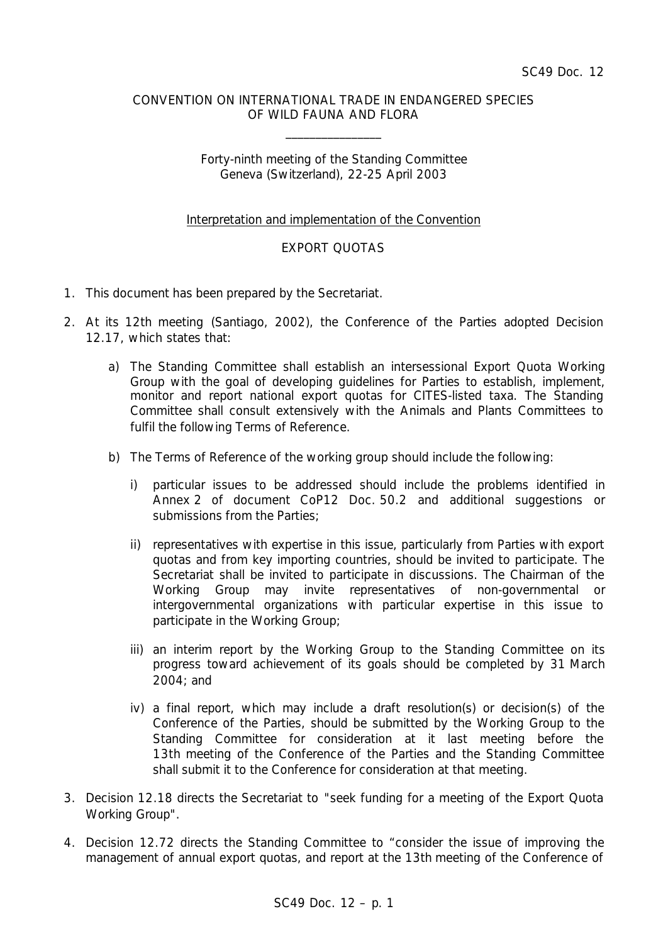## CONVENTION ON INTERNATIONAL TRADE IN ENDANGERED SPECIES OF WILD FAUNA AND FLORA

 $\overline{\phantom{a}}$ 

## Forty-ninth meeting of the Standing Committee Geneva (Switzerland), 22-25 April 2003

# Interpretation and implementation of the Convention

# EXPORT QUOTAS

- 1. This document has been prepared by the Secretariat.
- 2. At its 12th meeting (Santiago, 2002), the Conference of the Parties adopted Decision 12.17, which states that:
	- *a) The Standing Committee shall establish an intersessional Export Quota Working Group with the goal of developing guidelines for Parties to establish, implement, monitor and report national export quotas for CITES-listed taxa. The Standing Committee shall consult extensively with the Animals and Plants Committees to fulfil the following Terms of Reference.*
	- *b) The Terms of Reference of the working group should include the following:*
		- *i) particular issues to be addressed should include the problems identified in Annex 2 of document CoP12 Doc. 50.2 and additional suggestions or submissions from the Parties;*
		- *ii) representatives with expertise in this issue, particularly from Parties with export quotas and from key importing countries, should be invited to participate. The Secretariat shall be invited to participate in discussions. The Chairman of the Working Group may invite representatives of non-governmental or intergovernmental organizations with particular expertise in this issue to participate in the Working Group;*
		- *iii) an interim report by the Working Group to the Standing Committee on its progress toward achievement of its goals should be completed by 31 March 2004; and*
		- *iv) a final report, which may include a draft resolution(s) or decision(s) of the Conference of the Parties, should be submitted by the Working Group to the Standing Committee for consideration at it last meeting before the 13th meeting of the Conference of the Parties and the Standing Committee shall submit it to the Conference for consideration at that meeting.*
- 3. Decision 12.18 directs the Secretariat to "seek funding for a meeting of the Export Quota Working Group".
- 4. Decision 12.72 directs the Standing Committee to "consider the issue of improving the management of annual export quotas, and report at the 13th meeting of the Conference of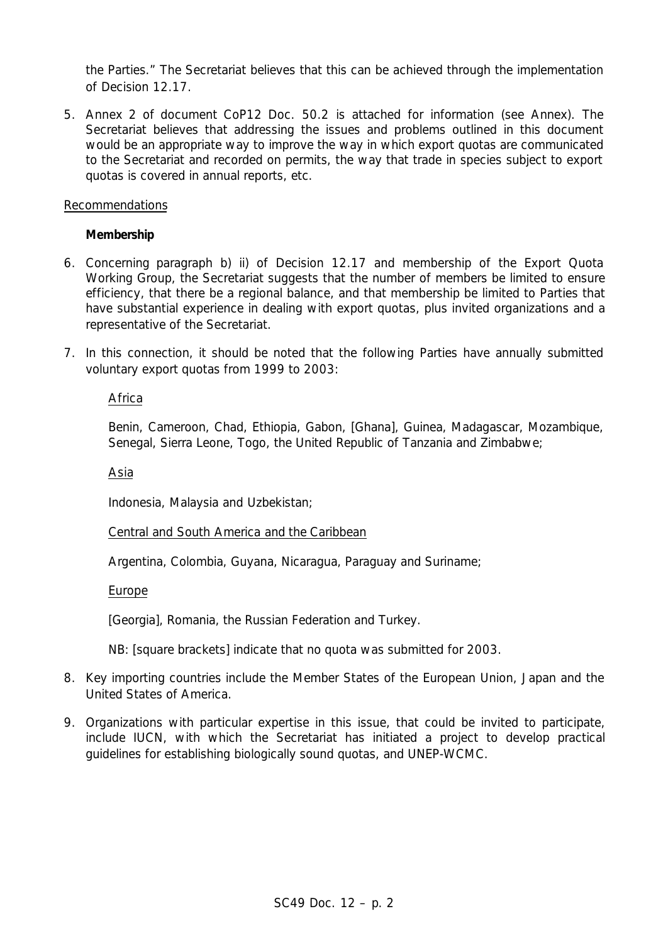the Parties." The Secretariat believes that this can be achieved through the implementation of Decision 12.17.

5. Annex 2 of document CoP12 Doc. 50.2 is attached for information (see Annex). The Secretariat believes that addressing the issues and problems outlined in this document would be an appropriate way to improve the way in which export quotas are communicated to the Secretariat and recorded on permits, the way that trade in species subject to export quotas is covered in annual reports, etc.

## Recommendations

# **Membership**

- 6. Concerning paragraph b) ii) of Decision 12.17 and membership of the Export Quota Working Group, the Secretariat suggests that the number of members be limited to ensure efficiency, that there be a regional balance, and that membership be limited to Parties that have substantial experience in dealing with export quotas, plus invited organizations and a representative of the Secretariat.
- 7. In this connection, it should be noted that the following Parties have annually submitted voluntary export quotas from 1999 to 2003:

# Africa

Benin, Cameroon, Chad, Ethiopia, Gabon, [Ghana], Guinea, Madagascar, Mozambique, Senegal, Sierra Leone, Togo, the United Republic of Tanzania and Zimbabwe;

### Asia

Indonesia, Malaysia and Uzbekistan;

Central and South America and the Caribbean

Argentina, Colombia, Guyana, Nicaragua, Paraguay and Suriname;

### Europe

[Georgia], Romania, the Russian Federation and Turkey.

NB: [square brackets] indicate that no quota was submitted for 2003.

- 8. Key importing countries include the Member States of the European Union, Japan and the United States of America.
- 9. Organizations with particular expertise in this issue, that could be invited to participate, include IUCN, with which the Secretariat has initiated a project to develop practical guidelines for establishing biologically sound quotas, and UNEP-WCMC.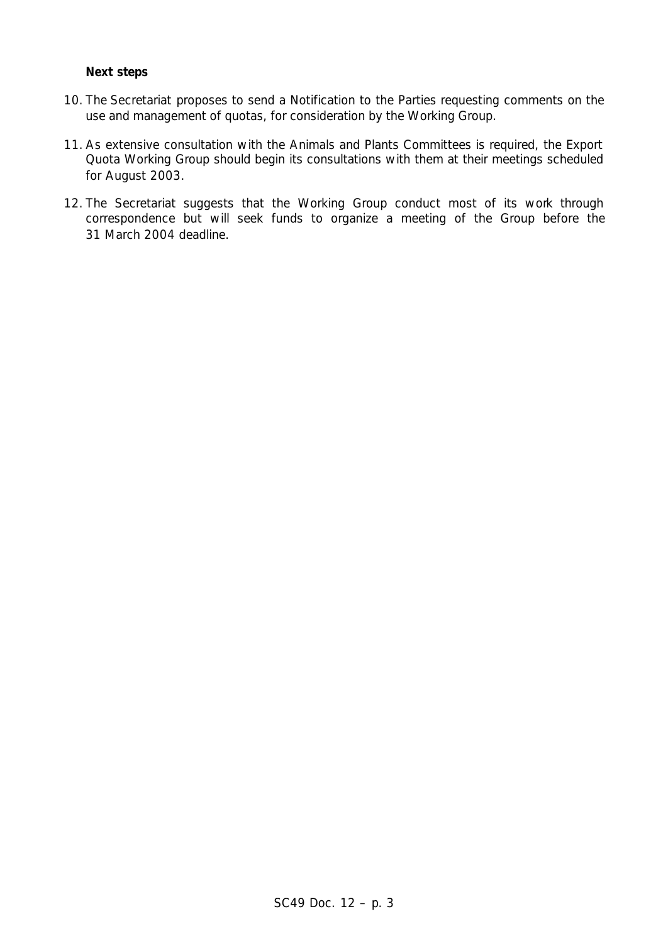#### **Next steps**

- 10. The Secretariat proposes to send a Notification to the Parties requesting comments on the use and management of quotas, for consideration by the Working Group.
- 11. As extensive consultation with the Animals and Plants Committees is required, the Export Quota Working Group should begin its consultations with them at their meetings scheduled for August 2003.
- 12. The Secretariat suggests that the Working Group conduct most of its work through correspondence but will seek funds to organize a meeting of the Group before the 31 March 2004 deadline.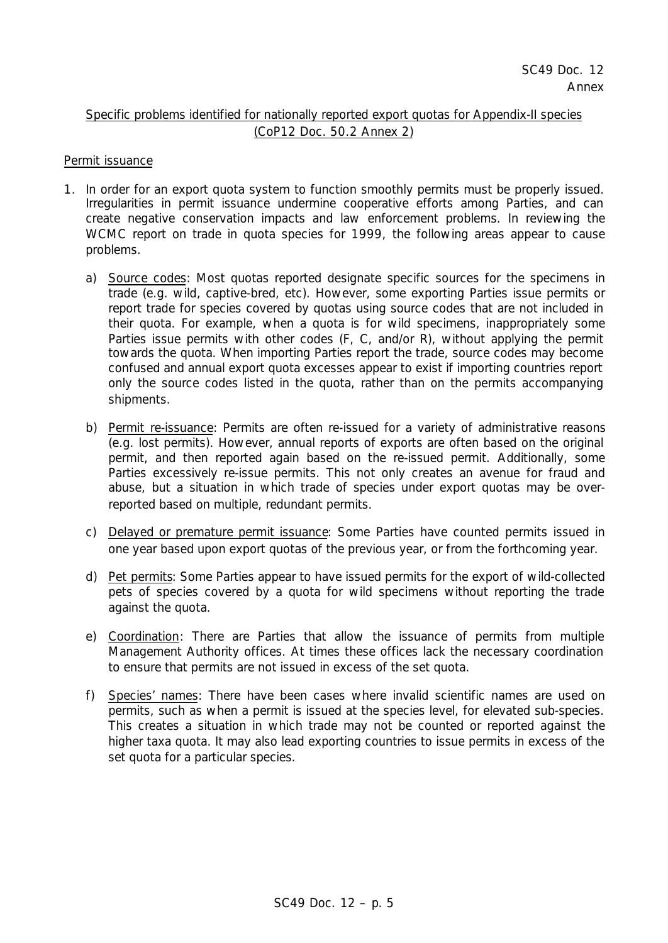# Specific problems identified for nationally reported export quotas for Appendix-II species (CoP12 Doc. 50.2 Annex 2)

# Permit issuance

- 1. In order for an export quota system to function smoothly permits must be properly issued. Irregularities in permit issuance undermine cooperative efforts among Parties, and can create negative conservation impacts and law enforcement problems. In reviewing the WCMC report on trade in quota species for 1999, the following areas appear to cause problems.
	- a) Source codes: Most quotas reported designate specific sources for the specimens in trade (e.g. wild, captive-bred, etc). However, some exporting Parties issue permits or report trade for species covered by quotas using source codes that are not included in their quota. For example, when a quota is for wild specimens, inappropriately some Parties issue permits with other codes (F, C, and/or R), without applying the permit towards the quota. When importing Parties report the trade, source codes may become confused and annual export quota excesses appear to exist if importing countries report only the source codes listed in the quota, rather than on the permits accompanying shipments.
	- b) Permit re-issuance: Permits are often re-issued for a variety of administrative reasons (e.g. lost permits). However, annual reports of exports are often based on the original permit, and then reported again based on the re-issued permit. Additionally, some Parties excessively re-issue permits. This not only creates an avenue for fraud and abuse, but a situation in which trade of species under export quotas may be overreported based on multiple, redundant permits.
	- c) Delayed or premature permit issuance: Some Parties have counted permits issued in one year based upon export quotas of the previous year, or from the forthcoming year.
	- d) Pet permits: Some Parties appear to have issued permits for the export of wild-collected pets of species covered by a quota for wild specimens without reporting the trade against the quota.
	- e) Coordination: There are Parties that allow the issuance of permits from multiple Management Authority offices. At times these offices lack the necessary coordination to ensure that permits are not issued in excess of the set quota.
	- f) Species' names: There have been cases where invalid scientific names are used on permits, such as when a permit is issued at the species level, for elevated sub-species. This creates a situation in which trade may not be counted or reported against the higher taxa quota. It may also lead exporting countries to issue permits in excess of the set quota for a particular species.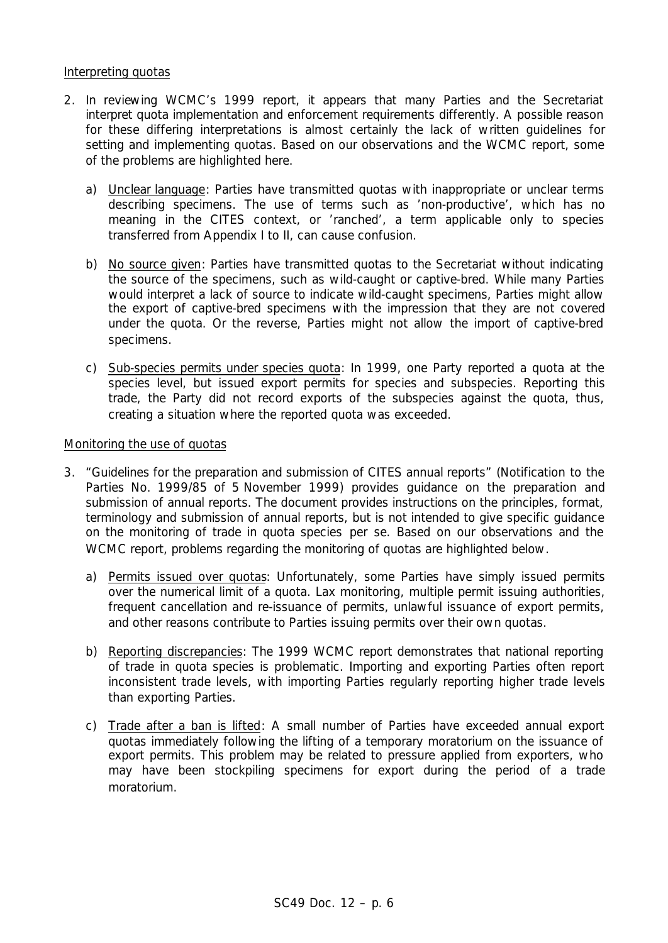### Interpreting quotas

- 2. In reviewing WCMC's 1999 report, it appears that many Parties and the Secretariat interpret quota implementation and enforcement requirements differently. A possible reason for these differing interpretations is almost certainly the lack of written guidelines for setting and implementing quotas. Based on our observations and the WCMC report, some of the problems are highlighted here.
	- a) Unclear language: Parties have transmitted quotas with inappropriate or unclear terms describing specimens. The use of terms such as 'non-productive', which has no meaning in the CITES context, or 'ranched', a term applicable only to species transferred from Appendix I to II, can cause confusion.
	- b) No source given: Parties have transmitted quotas to the Secretariat without indicating the source of the specimens, such as wild-caught or captive-bred. While many Parties would interpret a lack of source to indicate wild-caught specimens, Parties might allow the export of captive-bred specimens with the impression that they are not covered under the quota. Or the reverse, Parties might not allow the import of captive-bred specimens.
	- c) Sub-species permits under species quota: In 1999, one Party reported a quota at the species level, but issued export permits for species and subspecies. Reporting this trade, the Party did not record exports of the subspecies against the quota, thus, creating a situation where the reported quota was exceeded.

#### Monitoring the use of quotas

- 3. "Guidelines for the preparation and submission of CITES annual reports" (Notification to the Parties No. 1999/85 of 5 November 1999) provides guidance on the preparation and submission of annual reports. The document provides instructions on the principles, format, terminology and submission of annual reports, but is not intended to give specific guidance on the monitoring of trade in quota species *per se*. Based on our observations and the WCMC report, problems regarding the monitoring of quotas are highlighted below.
	- a) Permits issued over quotas: Unfortunately, some Parties have simply issued permits over the numerical limit of a quota. Lax monitoring, multiple permit issuing authorities, frequent cancellation and re-issuance of permits, unlawful issuance of export permits, and other reasons contribute to Parties issuing permits over their own quotas.
	- b) Reporting discrepancies: The 1999 WCMC report demonstrates that national reporting of trade in quota species is problematic. Importing and exporting Parties often report inconsistent trade levels, with importing Parties regularly reporting higher trade levels than exporting Parties.
	- c) Trade after a ban is lifted: A small number of Parties have exceeded annual export quotas immediately following the lifting of a temporary moratorium on the issuance of export permits. This problem may be related to pressure applied from exporters, who may have been stockpiling specimens for export during the period of a trade moratorium.